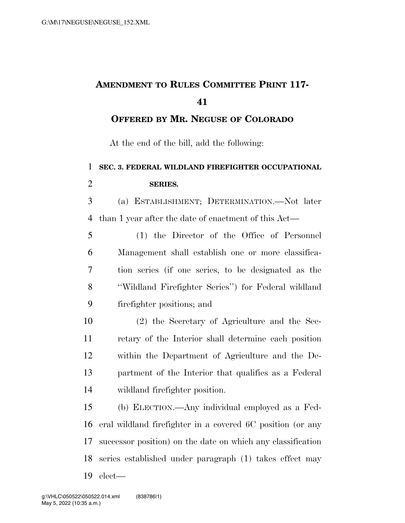## **AMENDMENT TO RULES COMMITTEE PRINT 117-**

**OFFERED BY MR. NEGUSE OF COLORADO**

At the end of the bill, add the following:

## **SEC. 3. FEDERAL WILDLAND FIREFIGHTER OCCUPATIONAL SERIES.**

 (a) ESTABLISHMENT; DETERMINATION.—Not later than 1 year after the date of enactment of this Act—

 (1) the Director of the Office of Personnel Management shall establish one or more classifica- tion series (if one series, to be designated as the ''Wildland Firefighter Series'') for Federal wildland firefighter positions; and

 (2) the Secretary of Agriculture and the Sec- retary of the Interior shall determine each position within the Department of Agriculture and the De- partment of the Interior that qualifies as a Federal wildland firefighter position.

 (b) ELECTION.—Any individual employed as a Fed- eral wildland firefighter in a covered 6C position (or any successor position) on the date on which any classification series established under paragraph (1) takes effect may elect